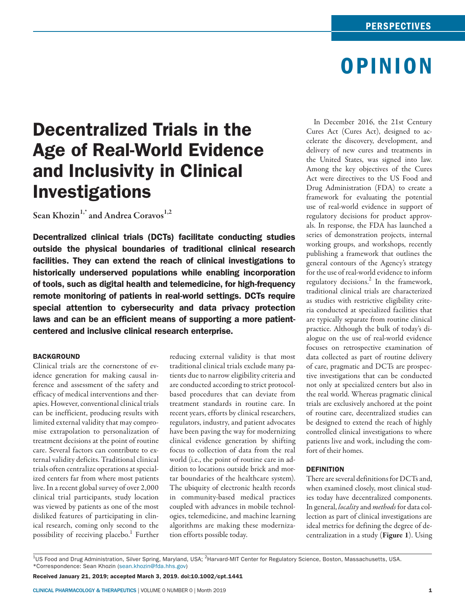# OPINION

## Decentralized Trials in the Age of Real-World Evidence and Inclusivity in Clinical Investigations

Sean Khozin<sup>1,\*</sup> and Andrea Coravos<sup>1,2</sup>

Decentralized clinical trials (DCTs) facilitate conducting studies outside the physical boundaries of traditional clinical research facilities. They can extend the reach of clinical investigations to historically underserved populations while enabling incorporation of tools, such as digital health and telemedicine, for high-frequency remote monitoring of patients in real-world settings. DCTs require special attention to cybersecurity and data privacy protection laws and can be an efficient means of supporting a more patientcentered and inclusive clinical research enterprise.

## **BACKGROUND**

Clinical trials are the cornerstone of evidence generation for making causal inference and assessment of the safety and efficacy of medical interventions and therapies. However, conventional clinical trials can be inefficient, producing results with limited external validity that may compromise extrapolation to personalization of treatment decisions at the point of routine care. Several factors can contribute to external validity deficits. Traditional clinical trials often centralize operations at specialized centers far from where most patients live. In a recent global survey of over 2,000 clinical trial participants, study location was viewed by patients as one of the most disliked features of participating in clinical research, coming only second to the possibility of receiving placebo.<sup>1</sup> Further reducing external validity is that most traditional clinical trials exclude many patients due to narrow eligibility criteria and are conducted according to strict protocolbased procedures that can deviate from treatment standards in routine care. In recent years, efforts by clinical researchers, regulators, industry, and patient advocates have been paving the way for modernizing clinical evidence generation by shifting focus to collection of data from the real world (i.e., the point of routine care in addition to locations outside brick and mortar boundaries of the healthcare system). The ubiquity of electronic health records in community-based medical practices coupled with advances in mobile technologies, telemedicine, and machine learning algorithms are making these modernization efforts possible today.

In December 2016, the 21st Century Cures Act (Cures Act), designed to accelerate the discovery, development, and delivery of new cures and treatments in the United States, was signed into law. Among the key objectives of the Cures Act were directives to the US Food and Drug Administration (FDA) to create a framework for evaluating the potential use of real-world evidence in support of regulatory decisions for product approvals. In response, the FDA has launched a series of demonstration projects, internal working groups, and workshops, recently publishing a framework that outlines the general contours of the Agency's strategy for the use of real-world evidence to inform regulatory decisions.<sup>2</sup> In the framework, traditional clinical trials are characterized as studies with restrictive eligibility criteria conducted at specialized facilities that are typically separate from routine clinical practice. Although the bulk of today's dialogue on the use of real-world evidence focuses on retrospective examination of data collected as part of routine delivery of care, pragmatic and DCTs are prospective investigations that can be conducted not only at specialized centers but also in the real world. Whereas pragmatic clinical trials are exclusively anchored at the point of routine care, decentralized studies can be designed to extend the reach of highly controlled clinical investigations to where patients live and work, including the comfort of their homes.

#### **DEFINITION**

There are several definitions for DCTs and, when examined closely, most clinical studies today have decentralized components. In general, *locality* and *methods* for data collection as part of clinical investigations are ideal metrics for defining the degree of decentralization in a study (Figure 1). Using

 $^{4}$ US Food and Drug Administration, Silver Spring, Maryland, USA; <sup>2</sup>Harvard-MIT Center for Regulatory Science, Boston, Massachusetts, USA. \*Correspondence: Sean Khozin [\(sean.khozin@fda.hhs.gov](mailto:sean.khozin@fda.hhs.gov))

Received January 21, 2019; accepted March 3, 2019. doi:10.1002/cpt.1441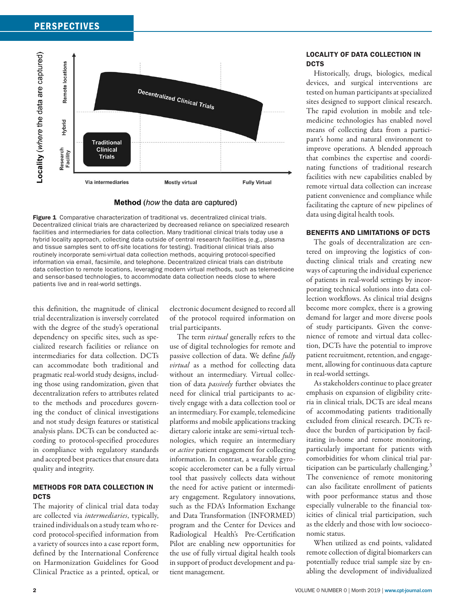

#### Method (how the data are captured)

Figure 1 Comparative characterization of traditional vs. decentralized clinical trials. Decentralized clinical trials are characterized by decreased reliance on specialized research facilities and intermediaries for data collection. Many traditional clinical trials today use a hybrid locality approach, collecting data outside of central research facilities (e.g., plasma and tissue samples sent to off-site locations for testing). Traditional clinical trials also routinely incorporate semi-virtual data collection methods, acquiring protocol-specified information via email, facsimile, and telephone. Decentralized clinical trials can distribute data collection to remote locations, leveraging modern virtual methods, such as telemedicine and sensor-based technologies, to accommodate data collection needs close to where patients live and in real-world settings.

this definition, the magnitude of clinical trial decentralization is inversely correlated with the degree of the study's operational dependency on specific sites, such as specialized research facilities or reliance on intermediaries for data collection. DCTs can accommodate both traditional and pragmatic real-world study designs, including those using randomization, given that decentralization refers to attributes related to the methods and procedures governing the conduct of clinical investigations and not study design features or statistical analysis plans. DCTs can be conducted according to protocol-specified procedures in compliance with regulatory standards and accepted best practices that ensure data quality and integrity.

## METHODS FOR DATA COLLECTION IN **DCTS**

The majority of clinical trial data today are collected via *intermediaries*, typically, trained individuals on a study team who record protocol-specified information from a variety of sources into a case report form, defined by the International Conference on Harmonization Guidelines for Good Clinical Practice as a printed, optical, or

electronic document designed to record all of the protocol required information on trial participants.

The term *virtual* generally refers to the use of digital technologies for remote and passive collection of data. We define *fully virtual* as a method for collecting data without an intermediary. Virtual collection of data *passively* further obviates the need for clinical trial participants to actively engage with a data collection tool or an intermediary. For example, telemedicine platforms and mobile applications tracking dietary calorie intake are semi-virtual technologies, which require an intermediary or *active* patient engagement for collecting information. In contrast, a wearable gyroscopic accelerometer can be a fully virtual tool that passively collects data without the need for active patient or intermediary engagement. Regulatory innovations, such as the FDA's Information Exchange and Data Transformation (INFORMED) program and the Center for Devices and Radiological Health's Pre-Certification Pilot are enabling new opportunities for the use of fully virtual digital health tools in support of product development and patient management.

## LOCALITY OF DATA COLLECTION IN DCTS

Historically, drugs, biologics, medical devices, and surgical interventions are tested on human participants at specialized sites designed to support clinical research. The rapid evolution in mobile and telemedicine technologies has enabled novel means of collecting data from a participant's home and natural environment to improve operations. A blended approach that combines the expertise and coordinating functions of traditional research facilities with new capabilities enabled by remote virtual data collection can increase patient convenience and compliance while facilitating the capture of new pipelines of data using digital health tools.

## BENEFITS AND LIMITATIONS OF DCTS

The goals of decentralization are centered on improving the logistics of conducting clinical trials and creating new ways of capturing the individual experience of patients in real-world settings by incorporating technical solutions into data collection workflows. As clinical trial designs become more complex, there is a growing demand for larger and more diverse pools of study participants. Given the convenience of remote and virtual data collection, DCTs have the potential to improve patient recruitment, retention, and engagement, allowing for continuous data capture in real-world settings.

As stakeholders continue to place greater emphasis on expansion of eligibility criteria in clinical trials, DCTs are ideal means of accommodating patients traditionally excluded from clinical research. DCTs reduce the burden of participation by facilitating in-home and remote monitoring, particularly important for patients with comorbidities for whom clinical trial participation can be particularly challenging. $3$ The convenience of remote monitoring can also facilitate enrollment of patients with poor performance status and those especially vulnerable to the financial toxicities of clinical trial participation, such as the elderly and those with low socioeconomic status.

When utilized as end points, validated remote collection of digital biomarkers can potentially reduce trial sample size by enabling the development of individualized